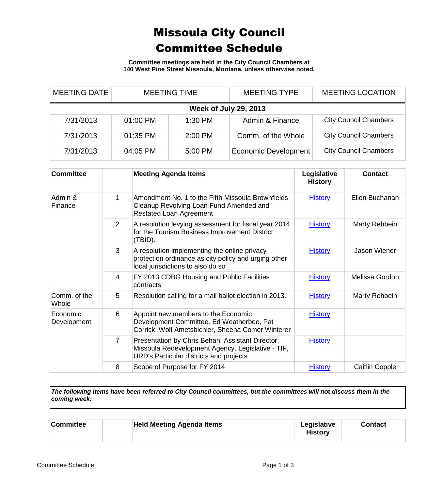## Missoula City Council Committee Schedule

**Committee meetings are held in the City Council Chambers at 140 West Pine Street Missoula, Montana, unless otherwise noted.**

| <b>MEETING DATE</b>          |          | <b>MEETING TIME</b> | <b>MEETING TYPE</b>         | <b>MEETING LOCATION</b>      |  |  |
|------------------------------|----------|---------------------|-----------------------------|------------------------------|--|--|
| <b>Week of July 29, 2013</b> |          |                     |                             |                              |  |  |
| 7/31/2013                    | 01:00 PM | $1:30$ PM           | Admin & Finance             | <b>City Council Chambers</b> |  |  |
| 7/31/2013                    | 01:35 PM | $2:00$ PM           | Comm. of the Whole          | <b>City Council Chambers</b> |  |  |
| 7/31/2013                    | 04:05 PM | 5:00 PM             | <b>Economic Development</b> | <b>City Council Chambers</b> |  |  |

| <b>Committee</b>        |                | <b>Meeting Agenda Items</b>                                                                                                                      | Legislative<br><b>History</b> | <b>Contact</b> |
|-------------------------|----------------|--------------------------------------------------------------------------------------------------------------------------------------------------|-------------------------------|----------------|
| Admin &<br>Finance      | 1              | Amendment No. 1 to the Fifth Missoula Brownfields<br>Cleanup Revolving Loan Fund Amended and<br><b>Restated Loan Agreement</b>                   | <b>History</b>                | Ellen Buchanan |
|                         | 2              | A resolution levying assessment for fiscal year 2014<br>for the Tourism Business Improvement District<br>(TBID).                                 | <b>History</b>                | Marty Rehbein  |
|                         | 3              | A resolution implementing the online privacy<br>protection ordinance as city policy and urging other<br>local jurisdictions to also do so        | <b>History</b>                | Jason Wiener   |
|                         | 4              | FY 2013 CDBG Housing and Public Facilities<br>contracts                                                                                          | <b>History</b>                | Melissa Gordon |
| Comm. of the<br>Whole   | 5              | Resolution calling for a mail ballot election in 2013.                                                                                           | <b>History</b>                | Marty Rehbein  |
| Economic<br>Development | 6              | Appoint new members to the Economic<br>Development Committee. Ed Weatherbee, Pat<br>Corrick, Wolf Ametsbichler, Sheena Comer Winterer            | <b>History</b>                |                |
|                         | $\overline{7}$ | Presentation by Chris Behan, Assistant Director,<br>Missoula Redevelopment Agency. Legislative - TIF,<br>URD's Particular districts and projects | <b>History</b>                |                |
|                         | 8              | Scope of Purpose for FY 2014                                                                                                                     | <b>History</b>                | Caitlin Copple |

*The following items have been referred to City Council committees, but the committees will not discuss them in the coming week:*

| <b>Held Meeting Agenda Items</b><br>Legislative<br><b>Committee</b><br>Contact<br><b>History</b> |
|--------------------------------------------------------------------------------------------------|
|--------------------------------------------------------------------------------------------------|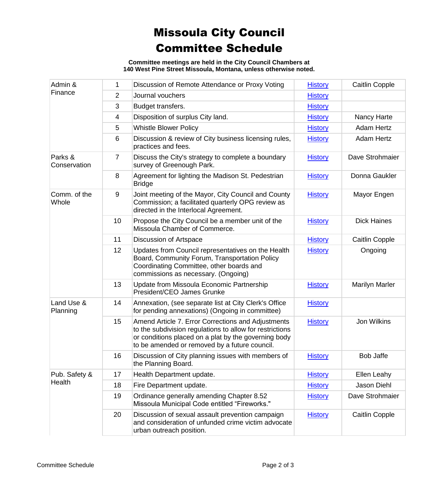## Missoula City Council Committee Schedule

**Committee meetings are held in the City Council Chambers at 140 West Pine Street Missoula, Montana, unless otherwise noted.**

| Admin &<br>Finance      | 1              | Discussion of Remote Attendance or Proxy Voting                                                                                                                                                                         | <b>History</b> | Caitlin Copple        |
|-------------------------|----------------|-------------------------------------------------------------------------------------------------------------------------------------------------------------------------------------------------------------------------|----------------|-----------------------|
|                         | $\overline{2}$ | Journal vouchers                                                                                                                                                                                                        | <b>History</b> |                       |
|                         | 3              | Budget transfers.                                                                                                                                                                                                       | <b>History</b> |                       |
|                         | 4              | Disposition of surplus City land.                                                                                                                                                                                       | <b>History</b> | Nancy Harte           |
|                         | 5              | <b>Whistle Blower Policy</b>                                                                                                                                                                                            | <b>History</b> | Adam Hertz            |
|                         | 6              | Discussion & review of City business licensing rules,<br>practices and fees.                                                                                                                                            | <b>History</b> | Adam Hertz            |
| Parks &<br>Conservation | $\overline{7}$ | Discuss the City's strategy to complete a boundary<br>survey of Greenough Park.                                                                                                                                         | <b>History</b> | Dave Strohmaier       |
|                         | 8              | Agreement for lighting the Madison St. Pedestrian<br><b>Bridge</b>                                                                                                                                                      | <b>History</b> | Donna Gaukler         |
| Comm. of the<br>Whole   | 9              | Joint meeting of the Mayor, City Council and County<br>Commission; a facilitated quarterly OPG review as<br>directed in the Interlocal Agreement.                                                                       | <b>History</b> | Mayor Engen           |
|                         | 10             | Propose the City Council be a member unit of the<br>Missoula Chamber of Commerce.                                                                                                                                       | <b>History</b> | <b>Dick Haines</b>    |
|                         | 11             | Discussion of Artspace                                                                                                                                                                                                  | <b>History</b> | <b>Caitlin Copple</b> |
|                         | 12             | Updates from Council representatives on the Health<br>Board, Community Forum, Transportation Policy<br>Coordinating Committee, other boards and<br>commissions as necessary. (Ongoing)                                  | <b>History</b> | Ongoing               |
|                         | 13             | Update from Missoula Economic Partnership<br>President/CEO James Grunke                                                                                                                                                 | <b>History</b> | <b>Marilyn Marler</b> |
| Land Use &<br>Planning  | 14             | Annexation, (see separate list at City Clerk's Office<br>for pending annexations) (Ongoing in committee)                                                                                                                | <b>History</b> |                       |
|                         | 15             | Amend Article 7. Error Corrections and Adjustments<br>to the subdivision regulations to allow for restrictions<br>or conditions placed on a plat by the governing body<br>to be amended or removed by a future council. | <b>History</b> | Jon Wilkins           |
|                         | 16             | Discussion of City planning issues with members of<br>the Planning Board.                                                                                                                                               | <b>History</b> | <b>Bob Jaffe</b>      |
| Pub. Safety &<br>Health | 17             | Health Department update.                                                                                                                                                                                               | <b>History</b> | Ellen Leahy           |
|                         | 18             | Fire Department update.                                                                                                                                                                                                 | <b>History</b> | Jason Diehl           |
|                         | 19             | Ordinance generally amending Chapter 8.52<br>Missoula Municipal Code entitled "Fireworks."                                                                                                                              | <b>History</b> | Dave Strohmaier       |
|                         | 20             | Discussion of sexual assault prevention campaign<br>and consideration of unfunded crime victim advocate<br>urban outreach position.                                                                                     | <b>History</b> | Caitlin Copple        |